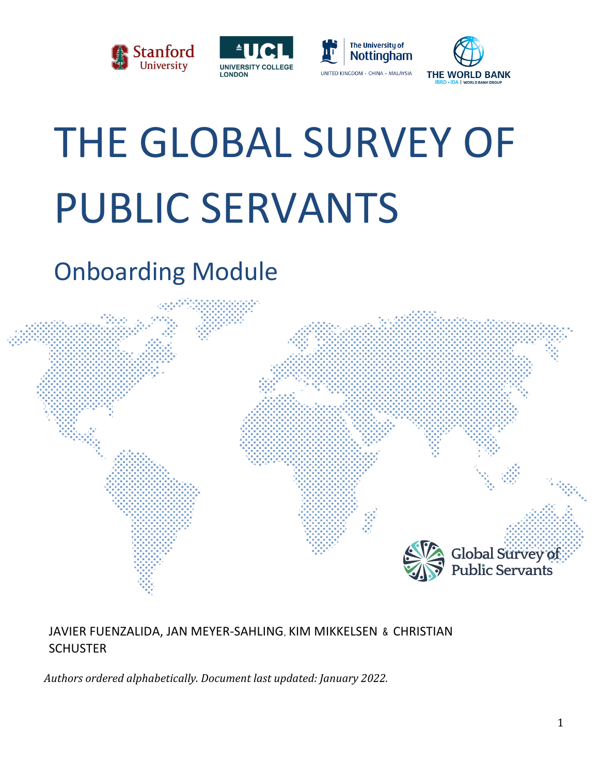







# THE GLOBAL SURVEY OF PUBLIC SERVANTS

# Onboarding Module



# JAVIER FUENZALIDA, JAN MEYER-SAHLING, KIM MIKKELSEN & CHRISTIAN **SCHUSTER**

*Authors ordered alphabetically. Document last updated: January 2022.*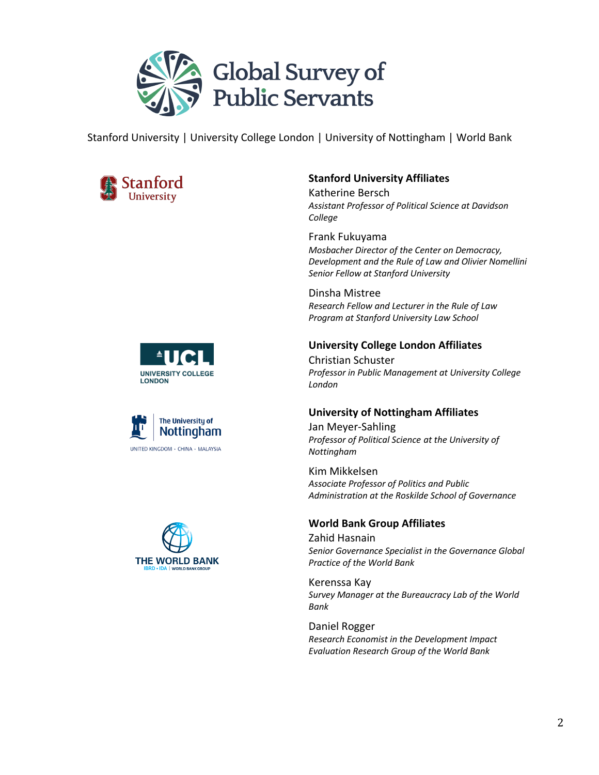

Stanford University | University College London | University of Nottingham | World Bank



#### **Stanford University Affiliates**

Katherine Bersch *Assistant Professor of Political Science at Davidson College*

Frank Fukuyama *Mosbacher Director of the Center on Democracy, Development and the Rule of Law and Olivier Nomellini Senior Fellow at Stanford University*

Dinsha Mistree *Research Fellow and Lecturer in the Rule of Law Program at Stanford University Law School*

#### **University College London Affiliates**

Christian Schuster *Professor in Public Management at University College London*

#### **University of Nottingham Affiliates**

Jan Meyer-Sahling *Professor of Political Science at the University of Nottingham*

Kim Mikkelsen *Associate Professor of Politics and Public Administration at the Roskilde School of Governance*

#### **World Bank Group Affiliates**

Zahid Hasnain *Senior Governance Specialist in the Governance Global Practice of the World Bank*

Kerenssa Kay *Survey Manager at the Bureaucracy Lab of the World Bank*

Daniel Rogger *Research Economist in the Development Impact Evaluation Research Group of the World Bank*





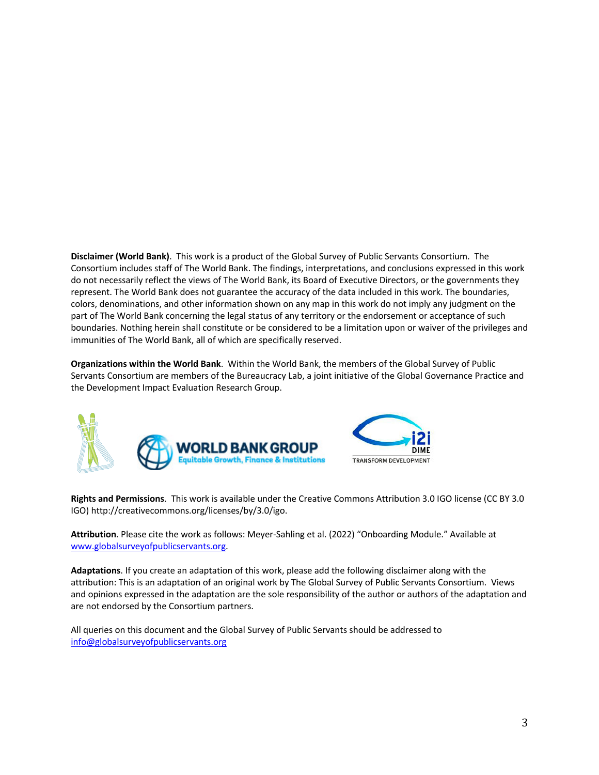**Disclaimer (World Bank)**. This work is a product of the Global Survey of Public Servants Consortium. The Consortium includes staff of The World Bank. The findings, interpretations, and conclusions expressed in this work do not necessarily reflect the views of The World Bank, its Board of Executive Directors, or the governments they represent. The World Bank does not guarantee the accuracy of the data included in this work. The boundaries, colors, denominations, and other information shown on any map in this work do not imply any judgment on the part of The World Bank concerning the legal status of any territory or the endorsement or acceptance of such boundaries. Nothing herein shall constitute or be considered to be a limitation upon or waiver of the privileges and immunities of The World Bank, all of which are specifically reserved.

**Organizations within the World Bank**. Within the World Bank, the members of the Global Survey of Public Servants Consortium are members of the Bureaucracy Lab, a joint initiative of the Global Governance Practice and the Development Impact Evaluation Research Group.



**Rights and Permissions**. This work is available under the Creative Commons Attribution 3.0 IGO license (CC BY 3.0 IGO) http://creativecommons.org/licenses/by/3.0/igo.

**Attribution**. Please cite the work as follows: Meyer-Sahling et al. (2022) "Onboarding Module." Available at www.globalsurveyofpublicservants.org.

**Adaptations**. If you create an adaptation of this work, please add the following disclaimer along with the attribution: This is an adaptation of an original work by The Global Survey of Public Servants Consortium. Views and opinions expressed in the adaptation are the sole responsibility of the author or authors of the adaptation and are not endorsed by the Consortium partners.

All queries on this document and the Global Survey of Public Servants should be addressed to info@globalsurveyofpublicservants.org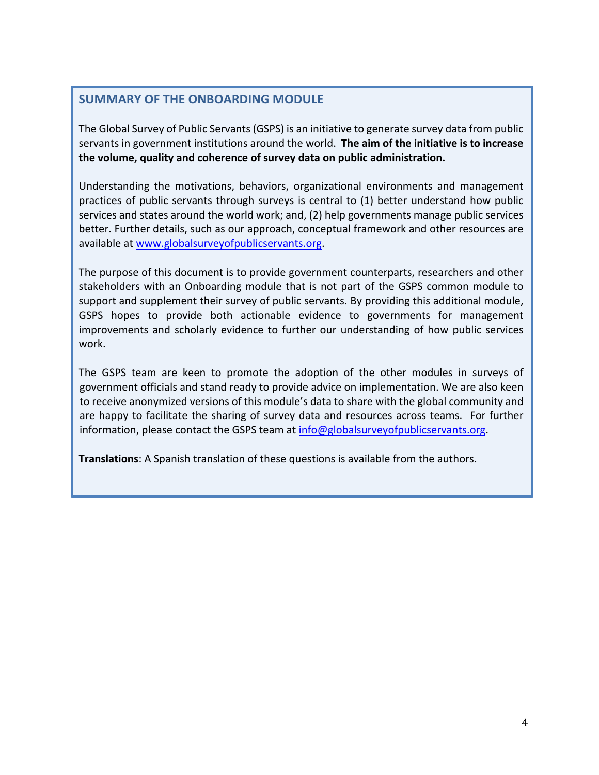## **SUMMARY OF THE ONBOARDING MODULE**

The Global Survey of Public Servants (GSPS) is an initiative to generate survey data from public servants in government institutions around the world. **The aim of the initiative is to increase the volume, quality and coherence of survey data on public administration.**

Understanding the motivations, behaviors, organizational environments and management practices of public servants through surveys is central to (1) better understand how public services and states around the world work; and, (2) help governments manage public services better. Further details, such as our approach, conceptual framework and other resources are available at www.globalsurveyofpublicservants.org.

The purpose of this document is to provide government counterparts, researchers and other stakeholders with an Onboarding module that is not part of the GSPS common module to support and supplement their survey of public servants. By providing this additional module, GSPS hopes to provide both actionable evidence to governments for management improvements and scholarly evidence to further our understanding of how public services work.

The GSPS team are keen to promote the adoption of the other modules in surveys of government officials and stand ready to provide advice on implementation. We are also keen to receive anonymized versions of this module's data to share with the global community and are happy to facilitate the sharing of survey data and resources across teams. For further information, please contact the GSPS team at info@globalsurveyofpublicservants.org.

**Translations**: A Spanish translation of these questions is available from the authors.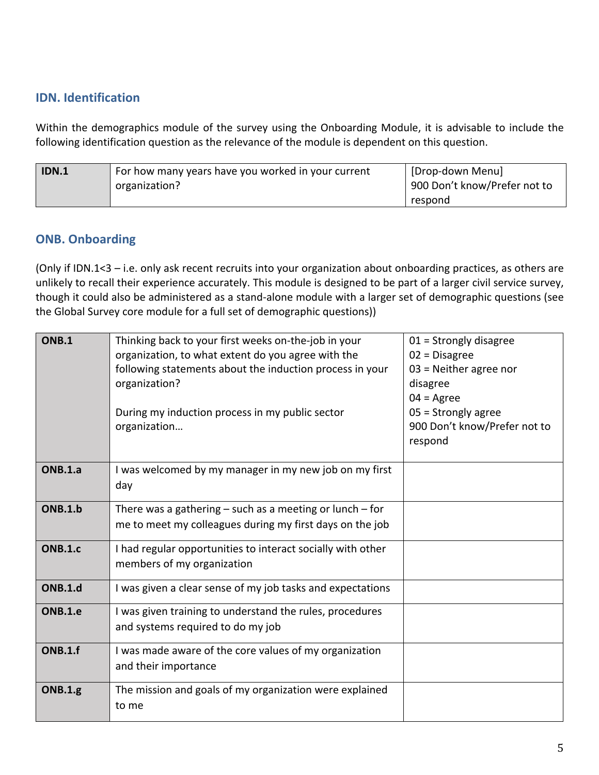# **IDN. Identification**

Within the demographics module of the survey using the Onboarding Module, it is advisable to include the following identification question as the relevance of the module is dependent on this question.

| IDN.1 | For how many years have you worked in your current | [Drop-down Menu]             |
|-------|----------------------------------------------------|------------------------------|
|       | organization?                                      | 900 Don't know/Prefer not to |
|       |                                                    | respond                      |

# **ONB. Onboarding**

(Only if IDN.1<3 – i.e. only ask recent recruits into your organization about onboarding practices, as others are unlikely to recall their experience accurately. This module is designed to be part of a larger civil service survey, though it could also be administered as a stand-alone module with a larger set of demographic questions (see the Global Survey core module for a full set of demographic questions))

| <b>ONB.1</b>   | Thinking back to your first weeks on-the-job in your<br>organization, to what extent do you agree with the<br>following statements about the induction process in your<br>organization?<br>During my induction process in my public sector<br>organization | $01 =$ Strongly disagree<br>$02$ = Disagree<br>$03$ = Neither agree nor<br>disagree<br>$04 = \text{Agree}$<br>$05 =$ Strongly agree<br>900 Don't know/Prefer not to<br>respond |
|----------------|------------------------------------------------------------------------------------------------------------------------------------------------------------------------------------------------------------------------------------------------------------|--------------------------------------------------------------------------------------------------------------------------------------------------------------------------------|
| <b>ONB.1.a</b> | I was welcomed by my manager in my new job on my first<br>day                                                                                                                                                                                              |                                                                                                                                                                                |
| <b>ONB.1.b</b> | There was a gathering $-$ such as a meeting or lunch $-$ for<br>me to meet my colleagues during my first days on the job                                                                                                                                   |                                                                                                                                                                                |
| <b>ONB.1.c</b> | I had regular opportunities to interact socially with other<br>members of my organization                                                                                                                                                                  |                                                                                                                                                                                |
| ONB.1.d        | I was given a clear sense of my job tasks and expectations                                                                                                                                                                                                 |                                                                                                                                                                                |
| ONB.1.e        | I was given training to understand the rules, procedures<br>and systems required to do my job                                                                                                                                                              |                                                                                                                                                                                |
| <b>ONB.1.f</b> | I was made aware of the core values of my organization<br>and their importance                                                                                                                                                                             |                                                                                                                                                                                |
| <b>ONB.1.g</b> | The mission and goals of my organization were explained<br>to me                                                                                                                                                                                           |                                                                                                                                                                                |